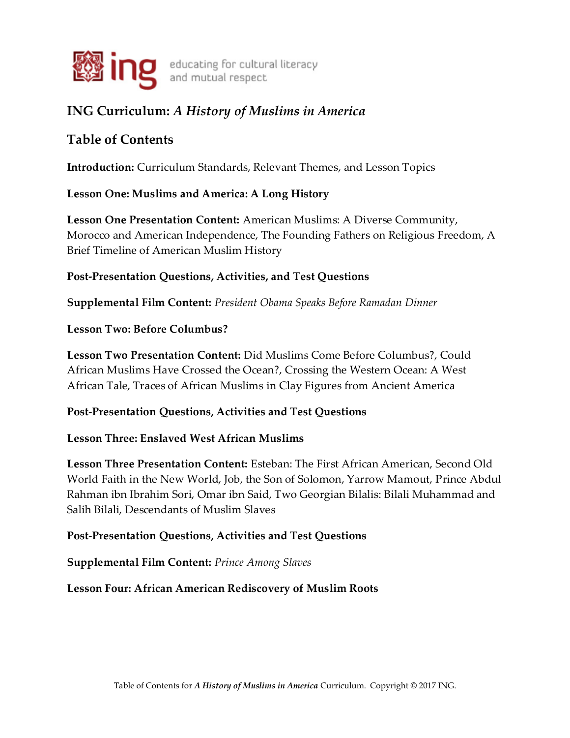

# **ING Curriculum:** *A History of Muslims in America*

# **Table of Contents**

**Introduction:** Curriculum Standards, Relevant Themes, and Lesson Topics

# **Lesson One: Muslims and America: A Long History**

**Lesson One Presentation Content:** American Muslims: A Diverse Community, Morocco and American Independence, The Founding Fathers on Religious Freedom, A Brief Timeline of American Muslim History

# **Post-Presentation Questions, Activities, and Test Questions**

**Supplemental Film Content:** *President Obama Speaks Before Ramadan Dinner*

## **Lesson Two: Before Columbus?**

**Lesson Two Presentation Content:** Did Muslims Come Before Columbus?, Could African Muslims Have Crossed the Ocean?, Crossing the Western Ocean: A West African Tale, Traces of African Muslims in Clay Figures from Ancient America

# **Post-Presentation Questions, Activities and Test Questions**

# **Lesson Three: Enslaved West African Muslims**

**Lesson Three Presentation Content:** Esteban: The First African American, Second Old World Faith in the New World, Job, the Son of Solomon, Yarrow Mamout, Prince Abdul Rahman ibn Ibrahim Sori, Omar ibn Said, Two Georgian Bilalis: Bilali Muhammad and Salih Bilali, Descendants of Muslim Slaves

# **Post-Presentation Questions, Activities and Test Questions**

## **Supplemental Film Content:** *Prince Among Slaves*

# **Lesson Four: African American Rediscovery of Muslim Roots**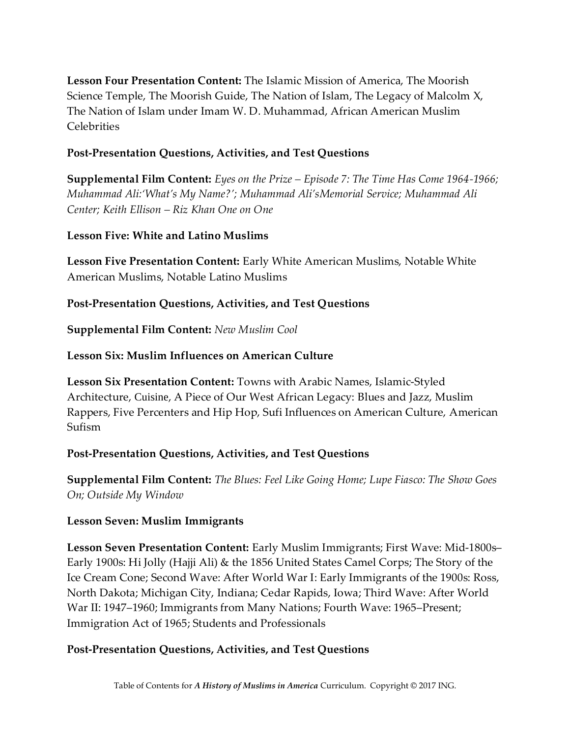**Lesson Four Presentation Content:** The Islamic Mission of America, The Moorish Science Temple, The Moorish Guide, The Nation of Islam, The Legacy of Malcolm X, The Nation of Islam under Imam W. D. Muhammad, African American Muslim Celebrities

### **Post-Presentation Questions, Activities, and Test Questions**

**Supplemental Film Content:** *Eyes on the Prize – Episode 7: The Time Has Come 1964-1966; Muhammad Ali:'What's My Name?'; Muhammad Ali'sMemorial Service; Muhammad Ali Center; Keith Ellison – Riz Khan One on One*

#### **Lesson Five: White and Latino Muslims**

**Lesson Five Presentation Content:** Early White American Muslims, Notable White American Muslims, Notable Latino Muslims

## **Post-Presentation Questions, Activities, and Test Questions**

**Supplemental Film Content:** *New Muslim Cool*

#### **Lesson Six: Muslim Influences on American Culture**

**Lesson Six Presentation Content:** Towns with Arabic Names, Islamic-Styled Architecture, Cuisine, A Piece of Our West African Legacy: Blues and Jazz, Muslim Rappers, Five Percenters and Hip Hop, Sufi Influences on American Culture, American Sufism

## **Post-Presentation Questions, Activities, and Test Questions**

**Supplemental Film Content:** *The Blues: Feel Like Going Home; Lupe Fiasco: The Show Goes On; Outside My Window*

#### **Lesson Seven: Muslim Immigrants**

**Lesson Seven Presentation Content:** Early Muslim Immigrants; First Wave: Mid-1800s– Early 1900s: Hi Jolly (Hajji Ali) & the 1856 United States Camel Corps; The Story of the Ice Cream Cone; Second Wave: After World War I: Early Immigrants of the 1900s: Ross, North Dakota; Michigan City, Indiana; Cedar Rapids, Iowa; Third Wave: After World War II: 1947–1960; Immigrants from Many Nations; Fourth Wave: 1965–Present; Immigration Act of 1965; Students and Professionals

#### **Post-Presentation Questions, Activities, and Test Questions**